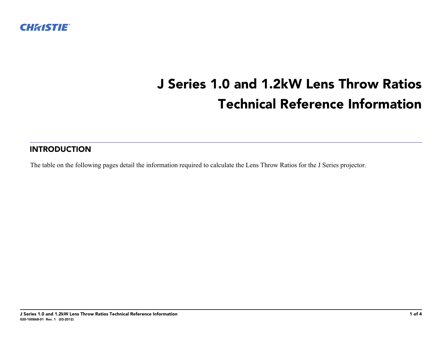

## **J Series 1.0 and 1.2kW Lens Throw Ratios Technical Reference Information**

## **INTRODUCTION**

The table on the following pages detail the information required to calculate the Lens Throw Ratios for the J Series projector.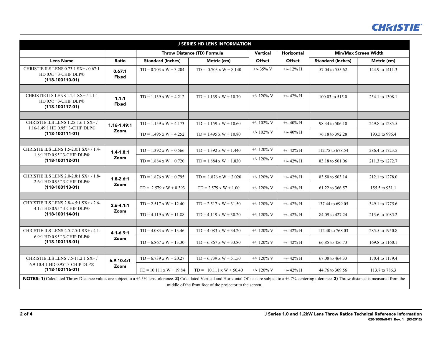

| <b>J SERIES HD LENS INFORMATION</b>                                                                                                                                                                                                                                            |                         |                                    |                                |                 |                      |                             |                 |
|--------------------------------------------------------------------------------------------------------------------------------------------------------------------------------------------------------------------------------------------------------------------------------|-------------------------|------------------------------------|--------------------------------|-----------------|----------------------|-----------------------------|-----------------|
|                                                                                                                                                                                                                                                                                |                         | <b>Throw Distance (TD) Formula</b> |                                | <b>Vertical</b> | <b>Horizontal</b>    | <b>Min/Max Screen Width</b> |                 |
| <b>Lens Name</b>                                                                                                                                                                                                                                                               | Ratio                   | <b>Standard (Inches)</b>           | Metric (cm)                    | <b>Offset</b>   | <b>Offset</b>        | <b>Standard (Inches)</b>    | Metric (cm)     |
| CHRISTIE ILS LENS 0.73:1 SX+/0.67:1<br>HD 0.95" 3-CHIP DLP®<br>$(118-100110-01)$                                                                                                                                                                                               | 0.67:1<br><b>Fixed</b>  | $TD = 0.703 \times W + 3.204$      | $TD = 0.703 \times W + 8.140$  | $+/- 35\%$ V    | $+/- 12\%$ H         | 57.04 to 555.62             | 144.9 to 1411.3 |
|                                                                                                                                                                                                                                                                                |                         |                                    |                                |                 |                      |                             |                 |
| CHRISTIE ILS LENS 1.2:1 SX+ / 1.1:1<br>HD 0.95" 3-CHIP DLP®<br>$(118-100117-01)$                                                                                                                                                                                               | 1.1:1<br><b>Fixed</b>   | $TD = 1.139 \times W + 4.212$      | $TD = 1.139 \times W + 10.70$  | +/- $120\%$ V   | $+/- 42\%$ H         | 100.03 to 515.0             | 254.1 to 1308.1 |
|                                                                                                                                                                                                                                                                                |                         |                                    |                                |                 |                      |                             |                 |
| CHRISTIE ILS LENS 1.25-1.6:1 SX+/<br>1.16-1.49:1 HD 0.95" 3-CHIP DLP®                                                                                                                                                                                                          | $1.16 - 1.49:1$<br>Zoom | $TD = 1.159 \times W + 4.173$      | $TD = 1.159 \times W + 10.60$  | $+/- 102\%$ V   | $+/- 40\%$ H         | 98.34 to 506.10             | 249.8 to 1285.5 |
| $(118-100111-01)$                                                                                                                                                                                                                                                              |                         | $TD = 1.495 \times W + 4.252$      | $TD = 1.495 \times W + 10.80$  | $+/- 102\%$ V   | $+/- 40\%$ H         | 76.18 to 392.28             | 193.5 to 996.4  |
|                                                                                                                                                                                                                                                                                |                         |                                    |                                |                 |                      |                             |                 |
| CHRISTIE ILS LENS 1.5-2.0:1 SX+ / 1.4-<br>1.8:1 HD 0.95" 3-CHIP DLP®                                                                                                                                                                                                           | $1.4 - 1.8:1$<br>Zoom   | $TD = 1.392 \times W + 0.566$      | $TD = 1.392 \times W + 1.440$  | $+/- 120\%$ V   | $+/- 42\%$ H         | 112.75 to 678.54            | 286.4 to 1723.5 |
| $(118-100112-01)$                                                                                                                                                                                                                                                              |                         | $TD = 1.884 \times W + 0.720$      | $TD = 1.884 \times W + 1.830$  | $+/- 120\%$ V   | $+/- 42\% \text{ H}$ | 83.18 to 501.06             | 211.3 to 1272.7 |
|                                                                                                                                                                                                                                                                                |                         |                                    |                                |                 |                      |                             |                 |
| CHRISTIE ILS LENS 2.0-2.8:1 SX+ / 1.8-<br>2.6:1 HD 0.95" 3-CHIP DLP®                                                                                                                                                                                                           | $1.8 - 2.6:1$           | $TD = 1.876 \times W + 0.795$      | $TD = 1.876 \times W + 2.020$  | $+/- 120\%$ V   | $+/- 42\%$ H         | 83.50 to 503.14             | 212.1 to 1278.0 |
| $(118-100113-01)$                                                                                                                                                                                                                                                              | Zoom                    | $TD = 2.579 \times W + 0.393$      | $TD = 2.579 \times W + 1.00$   | $+/- 120\%$ V   | $+/- 42\% \text{ H}$ | 61.22 to 366.57             | 155.5 to 931.1  |
|                                                                                                                                                                                                                                                                                |                         |                                    |                                |                 |                      |                             |                 |
| CHRISTIE ILS LENS 2.8-4.5:1 SX+/2.6-                                                                                                                                                                                                                                           | $2.6 - 4.1:1$           | $TD = 2.517 \times W + 12.40$      | $TD = 2.517 \times W + 31.50$  | $+/- 120\%$ V   | $+/- 42\% \text{ H}$ | 137.44 to 699.05            | 349.1 to 1775.6 |
| 4.1:1 HD 0.95" 3-CHIP DLP®<br>$(118-100114-01)$                                                                                                                                                                                                                                | Zoom                    | $TD = 4.119 \times W + 11.88$      | $TD = 4.119 \times W + 30.20$  | $+/- 120\%$ V   | $+/- 42\% \text{ H}$ | 84.09 to 427.24             | 213.6 to 1085.2 |
|                                                                                                                                                                                                                                                                                |                         |                                    |                                |                 |                      |                             |                 |
| CHRISTIE ILS LENS 4.5-7.5:1 SX+/4.1-                                                                                                                                                                                                                                           | $4.1 - 6.9:1$<br>Zoom   | $TD = 4.083 \times W + 13.46$      | $TD = 4.083 \times W + 34.20$  | $+/- 120\%$ V   | $+/- 42\% \text{ H}$ | 112.40 to 768.03            | 285.5 to 1950.8 |
| 6.9:1 HD 0.95" 3-CHIP DLP®<br>$(118-100115-01)$                                                                                                                                                                                                                                |                         | $TD = 6.867 \times W + 13.30$      | $TD = 6.867 \times W + 33.80$  | $+/- 120\%$ V   | $+/- 42\% \text{ H}$ | 66.85 to 456.73             | 169.8 to 1160.1 |
|                                                                                                                                                                                                                                                                                |                         |                                    |                                |                 |                      |                             |                 |
| CHRISTIE ILS LENS 7.5-11.2:1 SX+/                                                                                                                                                                                                                                              | $6.9 - 10.4:1$<br>Zoom  | $TD = 6.739 \times W + 20.27$      | $TD = 6.739 \times W + 51.50$  | +/- 120% V      | $+/- 42\% \text{ H}$ | 67.08 to 464.33             | 170.4 to 1179.4 |
| 6.9-10.4:1 HD 0.95" 3-CHIP DLP®<br>$(118-100116-01)$                                                                                                                                                                                                                           |                         | $TD = 10.111 \times W + 19.84$     | $TD = 10.111 \times W + 50.40$ | $+/- 120\%$ V   | $+/- 42\% \text{ H}$ | 44.76 to 309.56             | 113.7 to 786.3  |
| NOTES: 1) Calculated Throw Distance values are subject to a +/-5% lens tolerance. 2) Calculated Vertical and Horizontal Offsets are subject to a +/-7% centering tolerance. 3) Throw distance is measured from the<br>middle of the front foot of the projector to the screen. |                         |                                    |                                |                 |                      |                             |                 |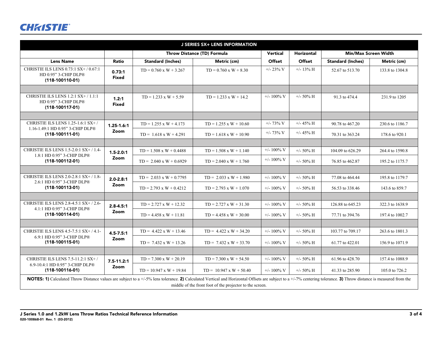## **CHRISTIE®**

| <b>J SERIES SX+ LENS INFORMATION</b>                                                                                                                                                                               |                        |                                    |                                                          |               |                   |                             |                 |  |
|--------------------------------------------------------------------------------------------------------------------------------------------------------------------------------------------------------------------|------------------------|------------------------------------|----------------------------------------------------------|---------------|-------------------|-----------------------------|-----------------|--|
|                                                                                                                                                                                                                    |                        | <b>Throw Distance (TD) Formula</b> |                                                          | Vertical      | <b>Horizontal</b> | <b>Min/Max Screen Width</b> |                 |  |
| <b>Lens Name</b>                                                                                                                                                                                                   | Ratio                  | <b>Standard (Inches)</b>           | Metric (cm)                                              | Offset        | Offset            | <b>Standard (Inches)</b>    | Metric (cm)     |  |
| CHRISTIE ILS LENS 0.73:1 SX+/0.67:1<br>HD 0.95" 3-CHIP DLP®<br>$(118-100110-01)$                                                                                                                                   | 0.73:1<br><b>Fixed</b> | $TD = 0.760 \times W + 3.267$      | $TD = 0.760 \times W + 8.30$                             | $+/- 23\%$ V  | $+/- 13\%$ H      | 52.67 to 513.70             | 133.8 to 1304.8 |  |
| CHRISTIE ILS LENS 1.2:1 SX+/1.1:1<br>HD 0.95" 3-CHIP DLP®<br>$(118-100117-01)$                                                                                                                                     | 1.2:1<br><b>Fixed</b>  | $TD = 1.233 \times W + 5.59$       | $TD = 1.233 \times W + 14.2$                             | $+/- 100\%$ V | $+/- 50\%$ H      | 91.3 to 474.4               | 231.9 to 1205   |  |
| CHRISTIE ILS LENS 1.25-1.6:1 SX+/<br>1.16-1.49:1 HD 0.95" 3-CHIP DLP®<br>$(118-100111-01)$                                                                                                                         | $1.25 - 1.6:1$         | $TD = 1.255 \times W + 4.173$      | $TD = 1.255 \times W + 10.60$                            | $+/- 73\%$ V  | $+/- 45\%$ H      | 90.78 to 467.20             | 230.6 to 1186.7 |  |
|                                                                                                                                                                                                                    | Zoom                   | $TD = 1.618 \times W + 4.291$      | $TD = 1.618 \times W + 10.90$                            | $+/- 73\%$ V  | $+/- 45\%$ H      | 70.31 to 363.24             | 178.6 to 920.1  |  |
| CHRISTIE ILS LENS 1.5-2.0:1 SX+/1.4-<br>1.8:1 HD 0.95" 3-CHIP DLP®<br>$(118-100112-01)$                                                                                                                            | $1.5 - 2.0:1$          | $TD = 1.508 \times W + 0.4488$     | $TD = 1.508 \times W + 1.140$                            | $+/- 100\%$ V | $+/- 50\%$ H      | 104.09 to 626.29            | 264.4 to 1590.8 |  |
|                                                                                                                                                                                                                    | Zoom                   | $TD = 2.040 \times W + 0.6929$     | $TD = 2.040 \times W + 1.760$                            | $+/- 100\%$ V | $+/- 50\%$ H      | 76.85 to 462.87             | 195.2 to 1175.7 |  |
|                                                                                                                                                                                                                    |                        |                                    |                                                          |               |                   |                             |                 |  |
| CHRISTIE ILS LENS 2.0-2.8:1 SX+ / 1.8-<br>2.6:1 HD 0.95" 3-CHIP DLP®                                                                                                                                               | $2.0 - 2.8:1$          | $TD = 2.033 \times W + 0.7795$     | $TD = 2.033 \times W + 1.980$                            | $+/- 100\%$ V | $+/- 50\%$ H      | 77.08 to 464.44             | 195.8 to 1179.7 |  |
| $(118-100113-01)$                                                                                                                                                                                                  | Zoom                   | $TD = 2.793 \times W + 0.4212$     | $TD = 2.793 \times W + 1.070$                            | $+/- 100\%$ V | $+/- 50\%$ H      | 56.53 to 338.46             | 143.6 to 859.7  |  |
| CHRISTIE ILS LENS 2.8-4.5:1 SX+/2.6-                                                                                                                                                                               | $2.8 - 4.5:1$<br>Zoom  | $TD = 2.727 \times W + 12.32$      | $TD = 2.727 \times W + 31.30$                            | $+/- 100\%$ V | $+/- 50\%$ H      | 126.88 to 645.23            | 322.3 to 1638.9 |  |
| 4.1:1 HD 0.95" 3-CHIP DLP®<br>$(118-100114-01)$                                                                                                                                                                    |                        | $TD = 4.458 \times W + 11.81$      | $TD = 4.458 \times W + 30.00$                            | $+/- 100\%$ V | $+/- 50\%$ H      | 77.71 to 394.76             | 197.4 to 1002.7 |  |
|                                                                                                                                                                                                                    |                        |                                    |                                                          |               |                   |                             |                 |  |
| CHRISTIE ILS LENS 4.5-7.5:1 SX+/4.1-                                                                                                                                                                               | $4.5 - 7.5:1$          | $TD = 4.422 \times W + 13.46$      | $TD = 4.422 \times W + 34.20$                            | $+/- 100\%$ V | $+/- 50\%$ H      | 103.77 to 709.17            | 263.6 to 1801.3 |  |
| 6.9:1 HD 0.95" 3-CHIP DLP®<br>$(118-100115-01)$                                                                                                                                                                    | Zoom                   | $TD = 7.432 \times W + 13.26$      | $TD = 7.432 \times W + 33.70$                            | $+/- 100\%$ V | $+/- 50\%$ H      | 61.77 to 422.01             | 156.9 to 1071.9 |  |
| CHRISTIE ILS LENS 7.5-11.2:1 SX+/<br>6.9-10.4:1 HD 0.95" 3-CHIP DLP®<br>$(118-100116-01)$                                                                                                                          | $7.5 - 11.2:1$<br>Zoom | $TD = 7.300 \times W + 20.19$      | $TD = 7.300 \times W + 54.50$                            | $+/- 100\%$ V | $+/- 50\%$ H      | 61.96 to 428.70             | 157.4 to 1088.9 |  |
|                                                                                                                                                                                                                    |                        | $TD = 10.947 \times W + 19.84$     | $TD = 10.947 \times W + 50.40$                           | $+/- 100\%$ V | $+/- 50\%$ H      | 41.33 to 285.90             | 105.0 to 726.2  |  |
| NOTES: 1) Calculated Throw Distance values are subject to a +/-5% lens tolerance. 2) Calculated Vertical and Horizontal Offsets are subject to a +/-7% centering tolerance. 3) Throw distance is measured from the |                        |                                    | middle of the front foot of the projector to the screen. |               |                   |                             |                 |  |